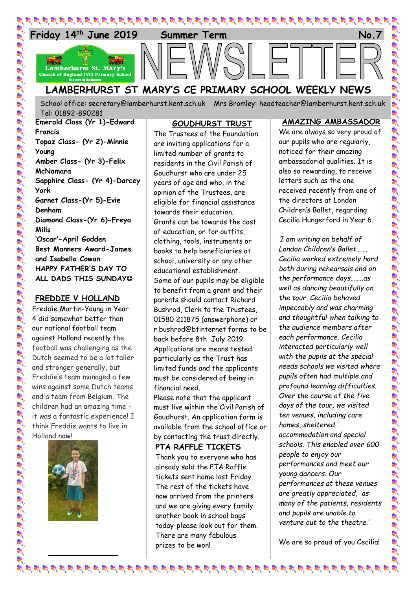

# **LAMBERHURST ST MARY'S CE PRIMARY SCHOOL WEEKLY NEWS**

School office: [secretary@lamberhurst.kent.sch.uk](mailto:secretary@lamberhurst.kent.sch.uk) Mrs Bromley: headteacher@lamberhurst.kent.sch.uk **Ruby Class (Yr R)–Olive White** Tel: 01892-890281

**Emerald Class (Yr 1)-Edward Francis Topaz Class- (Yr 2)-Minnie Young Amber Class- (Yr 3)-Felix McNamara Sapphire Class- (Yr 4)-Darcey York Garnet Class-(Yr 5)-Evie Denham Diamond Class-(Yr 6)-Freya Mills 'Oscar'-April Godden Best Manners Award-James and Isabella Cowan HAPPY FATHER'S DAY TO ALL DADS THIS SUNDAY**

## **FREDDIE V HOLLAND**

Freddie Martin-Young in Year 4 did somewhat better than our national football team against Holland recently the football was challenging as the Dutch seemed to be a lot taller and stronger generally, but Freddie's team managed a few wins against some Dutch teams and a team from Belgium. The children had an amazing time it was a fantastic experience! I think Freddie wants to live in Holland now!



## **GOUDHURST TRUST**

The Trustees of the Foundation are inviting applications for a limited number of grants to residents in the Civil Parish of Goudhurst who are under 25 years of age and who, in the opinion of the Trustees, are eligible for financial assistance towards their education. Grants can be towards the cost of education, or for outfits, clothing, tools, instruments or books to help beneficiaries at school, university or any other educational establishment. Some of our pupils may be eligible to benefit from a grant and their parents should contact Richard Bushrod, Clerk to the Trustees, 01580 211875 (answerphone) or r.bushrod@btinternet forms to be back before 8th July 2019 Applications are means tested particularly as the Trust has limited funds and the applicants must be considered of being in financial need.

Please note that the applicant must live within the Civil Parish of Goudhurst. An application form is available from the school office or by contacting the trust directly.

### **PTA RAFFLE TICKETS**

Thank you to everyone who has already sold the PTA Raffle tickets sent home last Friday. The rest of the tickets have now arrived from the printers and we are giving every family another book in school bags today-please look out for them. There are many fabulous prizes to be won!

### **AMAZING AMBASSADOR**

We are always so very proud of our pupils who are regularly, noticed for their amazing ambassadorial qualities. It is also so rewarding, to receive letters such as the one received recently from one of the directors at London Children's Ballet, regarding Cecilia Hungerford in Year 6.

*'I am writing on behalf of London Children's Ballet……. Cecilia worked extremely hard both during rehearsals and on the performance days……..as well as dancing beautifully on the tour, Cecilia behaved impeccably and was charming and thoughtful when talking to the audience members after each performance. Cecilia interacted particularly well with the pupils at the special needs schools we visited where pupils often had multiple and profound learning difficulties. Over the course of the five days of the tour, we visited ten venues, including care homes, sheltered accommodation and special schools. This enabled over 600 people to enjoy our performances and meet our young dancers. Our performances at these venues are greatly appreciated, as many of the patients, residents and pupils are unable to venture out to the theatre.'*

We are so proud of you Cecilia!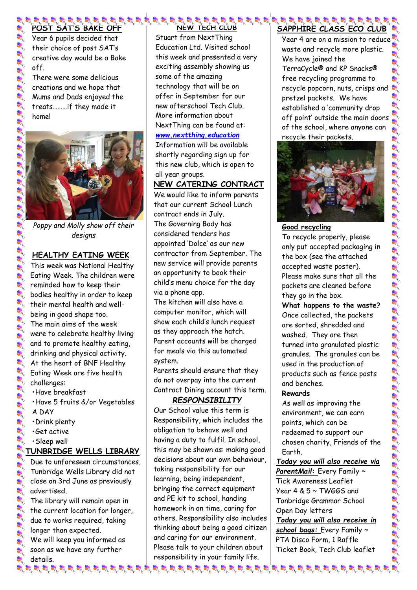**POST SAT'S BAKE OFF** Year 6 pupils decided that their choice of post SAT's creative day would be a Bake off.

There were some delicious creations and we hope that Mums and Dads enjoyed the treats………if they made it home!



*Poppy and Molly show off their designs*

# **HEALTHY EATING WEEK**

This week was National Healthy Eating Week. The children were reminded how to keep their bodies healthy in order to keep their mental health and wellbeing in good shape too. The main aims of the week were to celebrate healthy living and to promote healthy eating, drinking and physical activity. At the heart of BNF Healthy **Eating Week are five health** challenges:

- •Have breakfast
- •Have 5 fruits &/or Vegetables
- A DAY
- •Drink plenty
- •Get active
- •Sleep well

# **TUNBRIDGE WELLS LIBRARY**

Due to unforeseen circumstances, Tunbridge Wells Library did not close on 3rd June as previously advertised.

 $\mathbb{R}$  The library will remain open in  $\rightarrow$  the current location for longer, due to works required, taking longer than expected. We will keep you informed as soon as we have any further details.

# **NEW TECH CLUB**

Stuart from NextThing Education Ltd. Visited school this week and presented a very exciting assembly showing us some of the amazing technology that will be on offer in September for our new afterschool Tech Club. More information about NextThing can be found at:

### *[www.nextthing.education](http://www.nextthing.education/)*

Information will be available shortly regarding sign up for this new club, which is open to all year groups.

## **NEW CATERING CONTRACT**

We would like to inform parents that our current School Lunch contract ends in July. The Governing Body has considered tenders has appointed 'Dolce' as our new contractor from September. The new service will provide parents an opportunity to book their child's menu choice for the day via a phone app.

The kitchen will also have a computer monitor, which will show each child's lunch request as they approach the hatch. Parent accounts will be charged for meals via this automated system.

Parents should ensure that they do not overpay into the current Contract Dining account this term.

## *RESPONSIBILITY*

Our School value this term is Responsibility, which includes the obligation to behave well and having a duty to fulfil. In school, this may be shown as: making good decisions about our own behaviour, taking responsibility for our learning, being independent, bringing the correct equipment and PE kit to school, handing homework in on time, caring for others. Responsibility also includes thinking about being a good citizen and caring for our environment. Please talk to your children about responsibility in your family life.

### **SE SE SE SE SE SE SE SE SE SE SAPPHIRE CLASS ECO CLUB**

Year 4 are on a mission to reduce waste and recycle more plastic. We have joined the TerraCycle® and KP Snacks® free recycling programme to recycle popcorn, nuts, crisps and pretzel packets. We have established a 'community drop off point' outside the main doors of the school, where anyone can recycle their packets.



# **Good recycling**

To recycle properly, please only put accepted packaging in the box (see the attached accepted waste poster). Please make sure that all the packets are cleaned before they go in the box.

**What happens to the waste?** Once collected, the packets are sorted, shredded and washed. They are then turned into granulated plastic granules. The granules can be used in the production of products such as fence posts and benches.

# **Rewards**

As well as improving the environment, we can earn points, which can be redeemed to support our chosen charity, Friends of the Earth.

*Today you will also receive via* 

*ParentMail:* Every Family ~ Tick Awareness Leaflet Year 4 & 5 ~ TWGGS and Tonbridge Grammar School Open Day letters

*Today you will also receive in school bags:* Every Family ~ PTA Disco Form, 1 Raffle Ticket Book, Tech Club leaflet